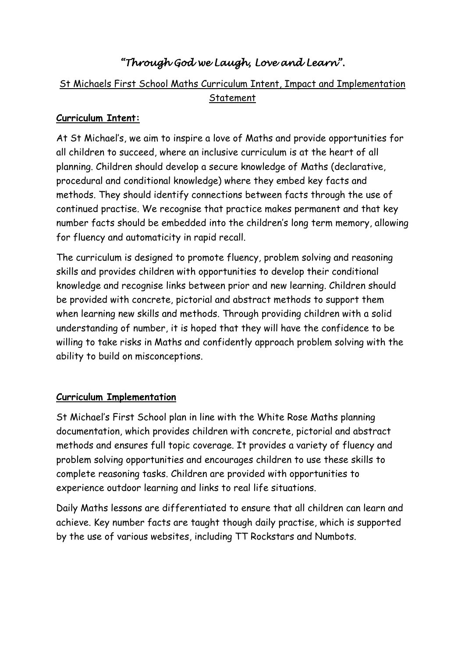# *"Through God we Laugh, Love and Learn".*

## St Michaels First School Maths Curriculum Intent, Impact and Implementation Statement

#### **Curriculum Intent:**

At St Michael's, we aim to inspire a love of Maths and provide opportunities for all children to succeed, where an inclusive curriculum is at the heart of all planning. Children should develop a secure knowledge of Maths (declarative, procedural and conditional knowledge) where they embed key facts and methods. They should identify connections between facts through the use of continued practise. We recognise that practice makes permanent and that key number facts should be embedded into the children's long term memory, allowing for fluency and automaticity in rapid recall.

The curriculum is designed to promote fluency, problem solving and reasoning skills and provides children with opportunities to develop their conditional knowledge and recognise links between prior and new learning. Children should be provided with concrete, pictorial and abstract methods to support them when learning new skills and methods. Through providing children with a solid understanding of number, it is hoped that they will have the confidence to be willing to take risks in Maths and confidently approach problem solving with the ability to build on misconceptions.

#### **Curriculum Implementation**

St Michael's First School plan in line with the White Rose Maths planning documentation, which provides children with concrete, pictorial and abstract methods and ensures full topic coverage. It provides a variety of fluency and problem solving opportunities and encourages children to use these skills to complete reasoning tasks. Children are provided with opportunities to experience outdoor learning and links to real life situations.

Daily Maths lessons are differentiated to ensure that all children can learn and achieve. Key number facts are taught though daily practise, which is supported by the use of various websites, including TT Rockstars and Numbots.